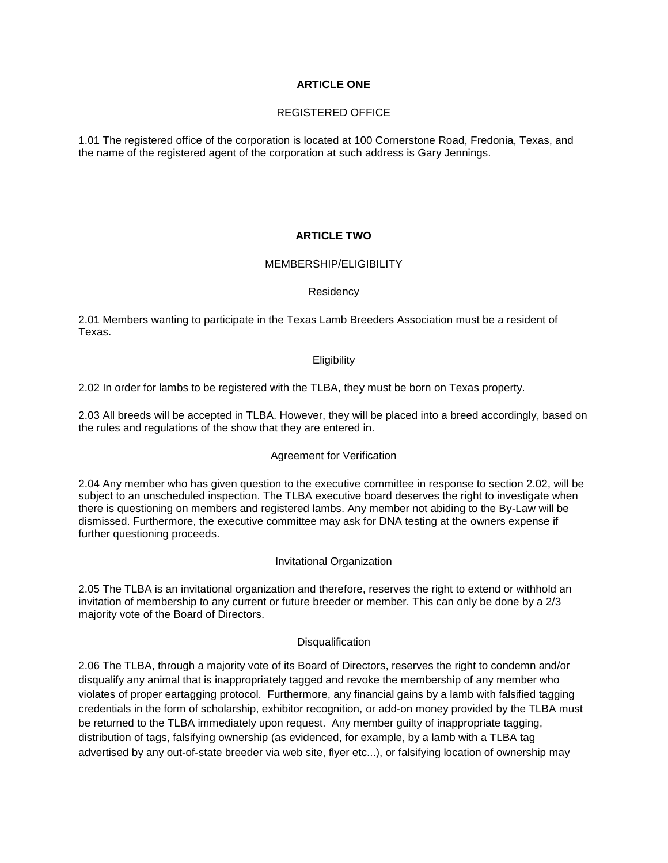# **ARTICLE ONE**

### REGISTERED OFFICE

1.01 The registered office of the corporation is located at 100 Cornerstone Road, Fredonia, Texas, and the name of the registered agent of the corporation at such address is Gary Jennings.

# **ARTICLE TWO**

## MEMBERSHIP/ELIGIBILITY

### Residency

2.01 Members wanting to participate in the Texas Lamb Breeders Association must be a resident of Texas.

## **Eligibility**

2.02 In order for lambs to be registered with the TLBA, they must be born on Texas property.

2.03 All breeds will be accepted in TLBA. However, they will be placed into a breed accordingly, based on the rules and regulations of the show that they are entered in.

## Agreement for Verification

2.04 Any member who has given question to the executive committee in response to section 2.02, will be subject to an unscheduled inspection. The TLBA executive board deserves the right to investigate when there is questioning on members and registered lambs. Any member not abiding to the By-Law will be dismissed. Furthermore, the executive committee may ask for DNA testing at the owners expense if further questioning proceeds.

### Invitational Organization

2.05 The TLBA is an invitational organization and therefore, reserves the right to extend or withhold an invitation of membership to any current or future breeder or member. This can only be done by a 2/3 majority vote of the Board of Directors.

### **Disqualification**

2.06 The TLBA, through a majority vote of its Board of Directors, reserves the right to condemn and/or disqualify any animal that is inappropriately tagged and revoke the membership of any member who violates of proper eartagging protocol. Furthermore, any financial gains by a lamb with falsified tagging credentials in the form of scholarship, exhibitor recognition, or add-on money provided by the TLBA must be returned to the TLBA immediately upon request. Any member guilty of inappropriate tagging, distribution of tags, falsifying ownership (as evidenced, for example, by a lamb with a TLBA tag advertised by any out-of-state breeder via web site, flyer etc...), or falsifying location of ownership may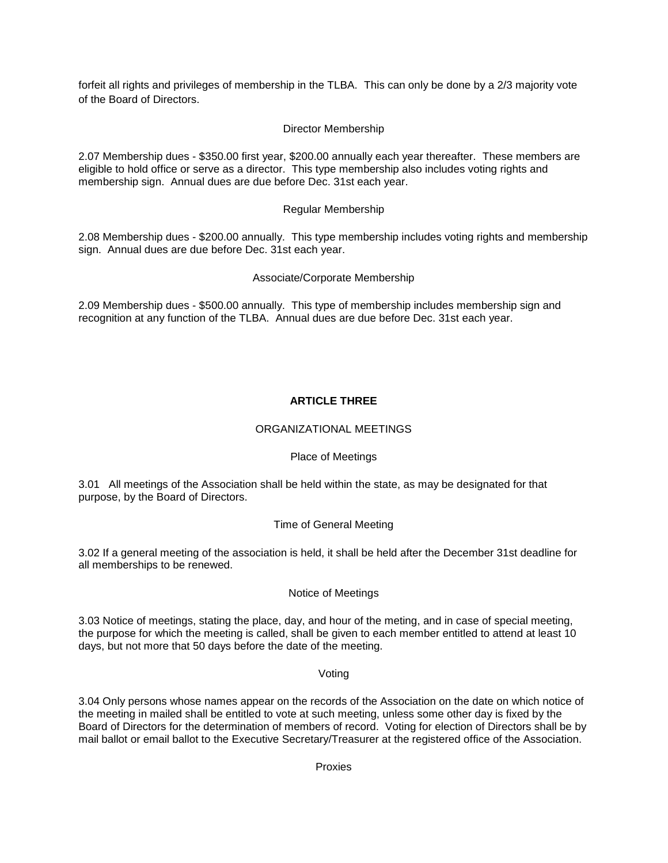forfeit all rights and privileges of membership in the TLBA. This can only be done by a 2/3 majority vote of the Board of Directors.

# Director Membership

2.07 Membership dues - \$350.00 first year, \$200.00 annually each year thereafter. These members are eligible to hold office or serve as a director. This type membership also includes voting rights and membership sign. Annual dues are due before Dec. 31st each year.

## Regular Membership

2.08 Membership dues - \$200.00 annually. This type membership includes voting rights and membership sign. Annual dues are due before Dec. 31st each year.

## Associate/Corporate Membership

2.09 Membership dues - \$500.00 annually. This type of membership includes membership sign and recognition at any function of the TLBA. Annual dues are due before Dec. 31st each year.

# **ARTICLE THREE**

### ORGANIZATIONAL MEETINGS

## Place of Meetings

3.01 All meetings of the Association shall be held within the state, as may be designated for that purpose, by the Board of Directors.

# Time of General Meeting

3.02 If a general meeting of the association is held, it shall be held after the December 31st deadline for all memberships to be renewed.

## Notice of Meetings

3.03 Notice of meetings, stating the place, day, and hour of the meting, and in case of special meeting, the purpose for which the meeting is called, shall be given to each member entitled to attend at least 10 days, but not more that 50 days before the date of the meeting.

### Voting

3.04 Only persons whose names appear on the records of the Association on the date on which notice of the meeting in mailed shall be entitled to vote at such meeting, unless some other day is fixed by the Board of Directors for the determination of members of record. Voting for election of Directors shall be by mail ballot or email ballot to the Executive Secretary/Treasurer at the registered office of the Association.

Proxies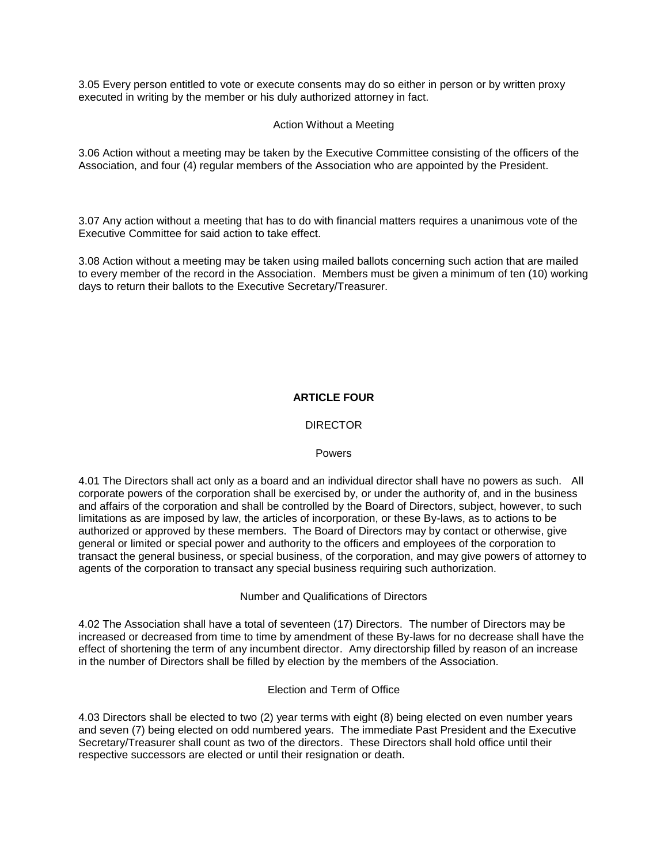3.05 Every person entitled to vote or execute consents may do so either in person or by written proxy executed in writing by the member or his duly authorized attorney in fact.

### Action Without a Meeting

3.06 Action without a meeting may be taken by the Executive Committee consisting of the officers of the Association, and four (4) regular members of the Association who are appointed by the President.

3.07 Any action without a meeting that has to do with financial matters requires a unanimous vote of the Executive Committee for said action to take effect.

3.08 Action without a meeting may be taken using mailed ballots concerning such action that are mailed to every member of the record in the Association. Members must be given a minimum of ten (10) working days to return their ballots to the Executive Secretary/Treasurer.

## **ARTICLE FOUR**

## **DIRECTOR**

### **Powers**

4.01 The Directors shall act only as a board and an individual director shall have no powers as such. All corporate powers of the corporation shall be exercised by, or under the authority of, and in the business and affairs of the corporation and shall be controlled by the Board of Directors, subject, however, to such limitations as are imposed by law, the articles of incorporation, or these By-laws, as to actions to be authorized or approved by these members. The Board of Directors may by contact or otherwise, give general or limited or special power and authority to the officers and employees of the corporation to transact the general business, or special business, of the corporation, and may give powers of attorney to agents of the corporation to transact any special business requiring such authorization.

Number and Qualifications of Directors

4.02 The Association shall have a total of seventeen (17) Directors. The number of Directors may be increased or decreased from time to time by amendment of these By-laws for no decrease shall have the effect of shortening the term of any incumbent director. Amy directorship filled by reason of an increase in the number of Directors shall be filled by election by the members of the Association.

### Election and Term of Office

4.03 Directors shall be elected to two (2) year terms with eight (8) being elected on even number years and seven (7) being elected on odd numbered years. The immediate Past President and the Executive Secretary/Treasurer shall count as two of the directors. These Directors shall hold office until their respective successors are elected or until their resignation or death.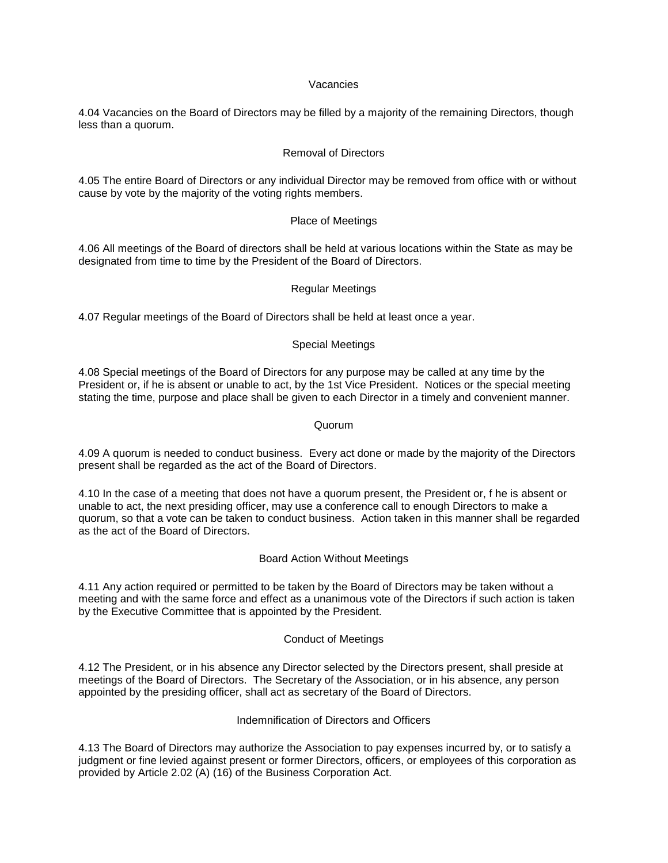### Vacancies

4.04 Vacancies on the Board of Directors may be filled by a majority of the remaining Directors, though less than a quorum.

### Removal of Directors

4.05 The entire Board of Directors or any individual Director may be removed from office with or without cause by vote by the majority of the voting rights members.

### Place of Meetings

4.06 All meetings of the Board of directors shall be held at various locations within the State as may be designated from time to time by the President of the Board of Directors.

### Regular Meetings

4.07 Regular meetings of the Board of Directors shall be held at least once a year.

#### Special Meetings

4.08 Special meetings of the Board of Directors for any purpose may be called at any time by the President or, if he is absent or unable to act, by the 1st Vice President. Notices or the special meeting stating the time, purpose and place shall be given to each Director in a timely and convenient manner.

#### Quorum

4.09 A quorum is needed to conduct business. Every act done or made by the majority of the Directors present shall be regarded as the act of the Board of Directors.

4.10 In the case of a meeting that does not have a quorum present, the President or, f he is absent or unable to act, the next presiding officer, may use a conference call to enough Directors to make a quorum, so that a vote can be taken to conduct business. Action taken in this manner shall be regarded as the act of the Board of Directors.

### Board Action Without Meetings

4.11 Any action required or permitted to be taken by the Board of Directors may be taken without a meeting and with the same force and effect as a unanimous vote of the Directors if such action is taken by the Executive Committee that is appointed by the President.

### Conduct of Meetings

4.12 The President, or in his absence any Director selected by the Directors present, shall preside at meetings of the Board of Directors. The Secretary of the Association, or in his absence, any person appointed by the presiding officer, shall act as secretary of the Board of Directors.

### Indemnification of Directors and Officers

4.13 The Board of Directors may authorize the Association to pay expenses incurred by, or to satisfy a judgment or fine levied against present or former Directors, officers, or employees of this corporation as provided by Article 2.02 (A) (16) of the Business Corporation Act.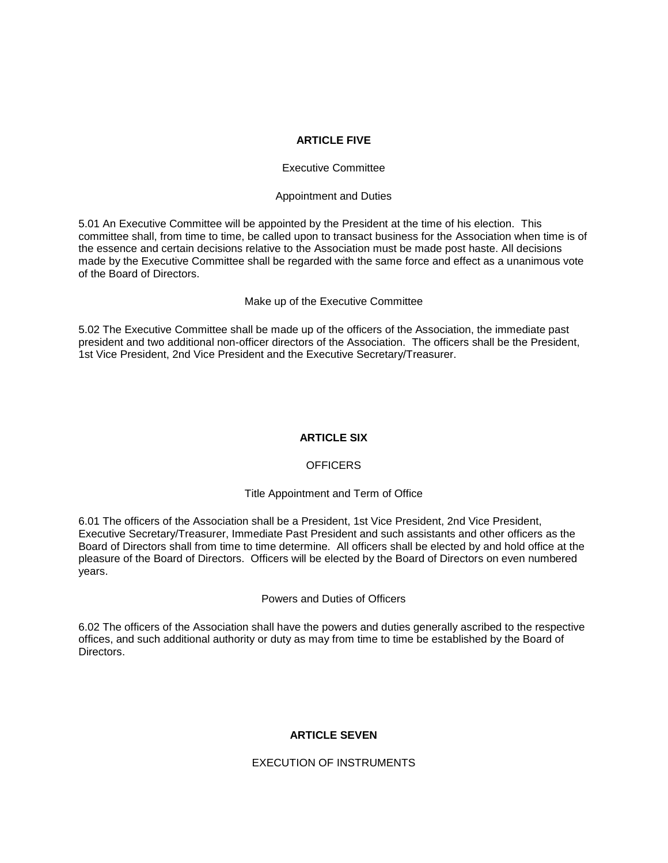### **ARTICLE FIVE**

### Executive Committee

#### Appointment and Duties

5.01 An Executive Committee will be appointed by the President at the time of his election. This committee shall, from time to time, be called upon to transact business for the Association when time is of the essence and certain decisions relative to the Association must be made post haste. All decisions made by the Executive Committee shall be regarded with the same force and effect as a unanimous vote of the Board of Directors.

#### Make up of the Executive Committee

5.02 The Executive Committee shall be made up of the officers of the Association, the immediate past president and two additional non-officer directors of the Association. The officers shall be the President, 1st Vice President, 2nd Vice President and the Executive Secretary/Treasurer.

### **ARTICLE SIX**

### **OFFICERS**

### Title Appointment and Term of Office

6.01 The officers of the Association shall be a President, 1st Vice President, 2nd Vice President, Executive Secretary/Treasurer, Immediate Past President and such assistants and other officers as the Board of Directors shall from time to time determine. All officers shall be elected by and hold office at the pleasure of the Board of Directors. Officers will be elected by the Board of Directors on even numbered years.

### Powers and Duties of Officers

6.02 The officers of the Association shall have the powers and duties generally ascribed to the respective offices, and such additional authority or duty as may from time to time be established by the Board of **Directors** 

### **ARTICLE SEVEN**

EXECUTION OF INSTRUMENTS